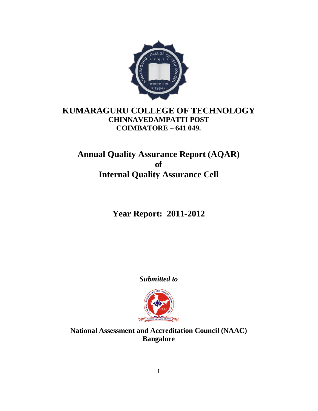

# **KUMARAGURU COLLEGE OF TECHNOLOGY CHINNAVEDAMPATTI POST COIMBATORE – 641 049.**

# **Annual Quality Assurance Report (AQAR) of Internal Quality Assurance Cell**

**Year Report: 2011-2012**

*Submitted to*



**National Assessment and Accreditation Council (NAAC) Bangalore**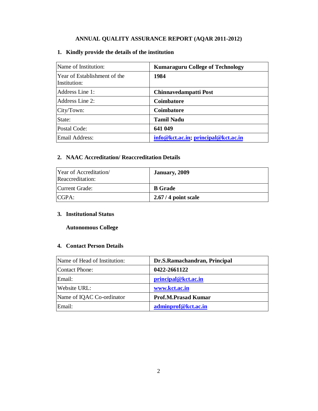# **ANNUAL QUALITY ASSURANCE REPORT (AQAR 2011-2012)**

# **1. Kindly provide the details of the institution**

| Name of Institution:                         | <b>Kumaraguru College of Technology</b> |
|----------------------------------------------|-----------------------------------------|
| Year of Establishment of the<br>Institution: | 1984                                    |
| Address Line 1:                              | Chinnavedampatti Post                   |
| Address Line 2:                              | <b>Coimbatore</b>                       |
| City/Town:                                   | <b>Coimbatore</b>                       |
| State:                                       | <b>Tamil Nadu</b>                       |
| Postal Code:                                 | 641 049                                 |
| Email Address:                               | info@kct.ac.in; principal@kct.ac.in     |

# **2. NAAC Accreditation/ Reaccreditation Details**

| Year of Accreditation<br>Reaccreditation: | January, 2009        |
|-------------------------------------------|----------------------|
| Current Grade:                            | <b>B</b> Grade       |
| CGPA:                                     | $2.67/4$ point scale |

### **3. Institutional Status**

# **Autonomous College**

# **4. Contact Person Details**

| Name of Head of Institution: | Dr.S.Ramachandran, Principal |
|------------------------------|------------------------------|
| Contact Phone:               | 0422-2661122                 |
| Email:                       | principal@kct.ac.in          |
| Website URL:                 | www.kct.ac.in                |
| Name of IQAC Co-ordinator    | <b>Prof.M.Prasad Kumar</b>   |
| Email:                       | adminprof@kct.ac.in          |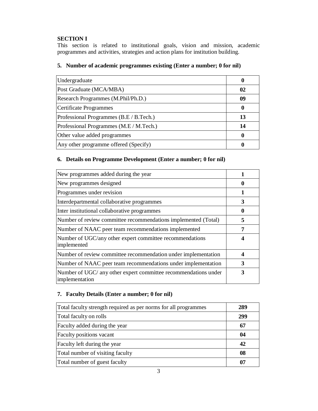# **SECTION I**

This section is related to institutional goals, vision and mission, academic programmes and activities, strategies and action plans for institution building.

# **5. Number of academic programmes existing (Enter a number; 0 for nil)**

| Undergraduate                           | u  |
|-----------------------------------------|----|
| Post Graduate (MCA/MBA)                 | 02 |
| Research Programmes (M.Phil/Ph.D.)      | 09 |
| Certificate Programmes                  |    |
| Professional Programmes (B.E / B.Tech.) | 13 |
| Professional Programmes (M.E / M.Tech.) | 14 |
| Other value added programmes            |    |
| Any other programme offered (Specify)   |    |

# **6. Details on Programme Development (Enter a number; 0 for nil)**

| New programmes added during the year                                              |   |
|-----------------------------------------------------------------------------------|---|
| New programmes designed                                                           |   |
| Programmes under revision                                                         |   |
| Interdepartmental collaborative programmes                                        | 3 |
| Inter institutional collaborative programmes                                      |   |
| Number of review committee recommendations implemented (Total)                    | 5 |
| Number of NAAC peer team recommendations implemented                              |   |
| Number of UGC/any other expert committee recommendations<br>implemented           |   |
| Number of review committee recommendation under implementation                    |   |
| Number of NAAC peer team recommendations under implementation                     | 3 |
| Number of UGC/ any other expert committee recommendations under<br>implementation | 3 |

# **7. Faculty Details (Enter a number; 0 for nil)**

| Total faculty strength required as per norms for all programmes | 289 |
|-----------------------------------------------------------------|-----|
| Total faculty on rolls                                          | 299 |
| Faculty added during the year                                   | 67  |
| Faculty positions vacant                                        | 04  |
| Faculty left during the year                                    | 42  |
| Total number of visiting faculty                                | 08  |
| Total number of guest faculty                                   | 07  |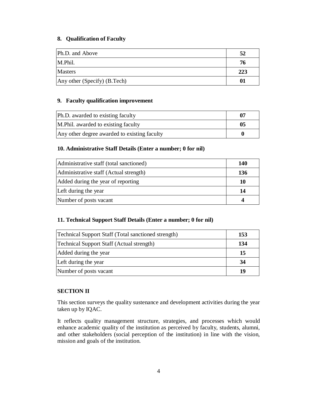### **8. Qualification of Faculty**

| Ph.D. and Above              | 52  |
|------------------------------|-----|
| M.Phil.                      | 76  |
| <b>Masters</b>               | 223 |
| Any other (Specify) (B.Tech) | 01  |

#### **9. Faculty qualification improvement**

| Ph.D. awarded to existing faculty            | 07 |
|----------------------------------------------|----|
| M. Phil. awarded to existing faculty         | 05 |
| Any other degree awarded to existing faculty |    |

# **10. Administrative Staff Details (Enter a number; 0 for nil)**

| Administrative staff (total sanctioned) | 140        |
|-----------------------------------------|------------|
| Administrative staff (Actual strength)  | <b>136</b> |
| Added during the year of reporting      | 10         |
| Left during the year                    | 14         |
| Number of posts vacant                  |            |

# **11. Technical Support Staff Details (Enter a number; 0 for nil)**

| <b>Technical Support Staff (Total sanctioned strength)</b> | 153 |
|------------------------------------------------------------|-----|
| Technical Support Staff (Actual strength)                  | 134 |
| Added during the year                                      | 15  |
| Left during the year                                       | 34  |
| Number of posts vacant                                     | 19  |

# **SECTION II**

This section surveys the quality sustenance and development activities during the year taken up by IQAC.

It reflects quality management structure, strategies, and processes which would enhance academic quality of the institution as perceived by faculty, students, alumni, and other stakeholders (social perception of the institution) in line with the vision, mission and goals of the institution.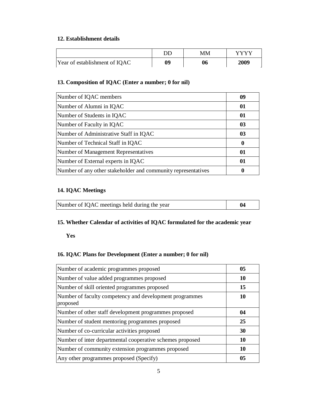### **12. Establishment details**

|                               | DD | MM | VVVV |
|-------------------------------|----|----|------|
| Year of establishment of IQAC | 09 | 06 | 2009 |

# **13. Composition of IQAC (Enter a number; 0 for nil)**

| Number of IQAC members                                        | 09 |
|---------------------------------------------------------------|----|
| Number of Alumni in IQAC                                      | 01 |
| Number of Students in IQAC                                    | 01 |
| Number of Faculty in IQAC                                     | 03 |
| Number of Administrative Staff in IQAC                        | 03 |
| Number of Technical Staff in IQAC                             | 0  |
| Number of Management Representatives                          | 01 |
| Number of External experts in IQAC                            | 01 |
| Number of any other stakeholder and community representatives |    |

# **14. IQAC Meetings**

| Number of IQAC meetings held during the year |  |
|----------------------------------------------|--|
|                                              |  |

# **15. Whether Calendar of activities of IQAC formulated for the academic year**

**Yes** 

# **16. IQAC Plans for Development (Enter a number; 0 for nil)**

| Number of academic programmes proposed                              | 05 |
|---------------------------------------------------------------------|----|
| Number of value added programmes proposed                           | 10 |
| Number of skill oriented programmes proposed                        | 15 |
| Number of faculty competency and development programmes<br>proposed | 10 |
| Number of other staff development programmes proposed               | 04 |
| Number of student mentoring programmes proposed                     | 25 |
| Number of co-curricular activities proposed                         | 30 |
| Number of inter departmental cooperative schemes proposed           | 10 |
| Number of community extension programmes proposed                   | 10 |
| Any other programmes proposed (Specify)                             | 05 |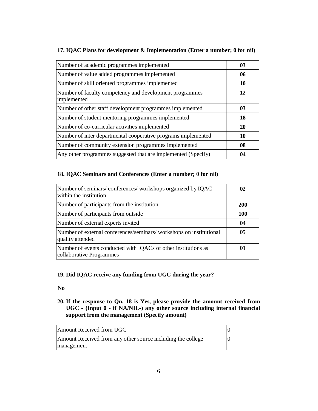| Number of academic programmes implemented                              | 03 |
|------------------------------------------------------------------------|----|
| Number of value added programmes implemented                           | 06 |
| Number of skill oriented programmes implemented                        | 10 |
| Number of faculty competency and development programmes<br>implemented | 12 |
| Number of other staff development programmes implemented               | 03 |
| Number of student mentoring programmes implemented                     | 18 |
| Number of co-curricular activities implemented                         | 20 |
| Number of inter departmental cooperative programs implemented          | 10 |
| Number of community extension programmes implemented                   | 08 |
| Any other programmes suggested that are implemented (Specify)          | 04 |

# **17. IQAC Plans for development & Implementation (Enter a number; 0 for nil)**

## **18. IQAC Seminars and Conferences (Enter a number; 0 for nil)**

| Number of seminars/conferences/workshops organized by IQAC<br>within the institution       | 02         |
|--------------------------------------------------------------------------------------------|------------|
| Number of participants from the institution                                                | <b>200</b> |
| Number of participants from outside                                                        | <b>100</b> |
| Number of external experts invited                                                         | 04         |
| Number of external conferences/seminars/ workshops on institutional<br>quality attended    | 05         |
| Number of events conducted with IQACs of other institutions as<br>collaborative Programmes | 01         |

# **19. Did IQAC receive any funding from UGC during the year?**

#### **No**

**20. If the response to Qn. 18 is Yes, please provide the amount received from UGC - (Input 0 - if NA/NIL-) any other source including internal financial support from the management (Specify amount)**

| Amount Received from UGC                                                  |  |
|---------------------------------------------------------------------------|--|
| Amount Received from any other source including the college<br>management |  |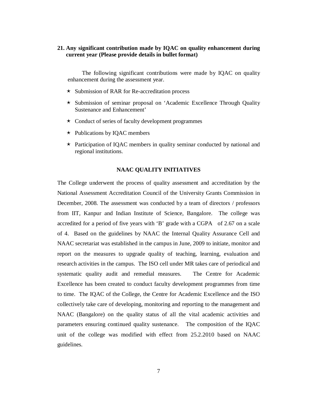#### **21. Any significant contribution made by IQAC on quality enhancement during current year (Please provide details in bullet format)**

The following significant contributions were made by IQAC on quality enhancement during the assessment year.

- $\star$  Submission of RAR for Re-accreditation process
- $\star$  Submission of seminar proposal on 'Academic Excellence Through Quality Sustenance and Enhancement'
- $\star$  Conduct of series of faculty development programmes
- $\star$  Publications by IQAC members
- $\star$  Participation of IQAC members in quality seminar conducted by national and regional institutions.

#### **NAAC QUALITY INITIATIVES**

The College underwent the process of quality assessment and accreditation by the National Assessment Accreditation Council of the University Grants Commission in December, 2008. The assessment was conducted by a team of directors / professors from IIT, Kanpur and Indian Institute of Science, Bangalore. The college was accredited for a period of five years with 'B' grade with a CGPA of 2.67 on a scale of 4. Based on the guidelines by NAAC the Internal Quality Assurance Cell and NAAC secretariat was established in the campus in June, 2009 to initiate, monitor and report on the measures to upgrade quality of teaching, learning, evaluation and research activities in the campus. The ISO cell under MR takes care of periodical and systematic quality audit and remedial measures. The Centre for Academic Excellence has been created to conduct faculty development programmes from time to time. The IQAC of the College, the Centre for Academic Excellence and the ISO collectively take care of developing, monitoring and reporting to the management and NAAC (Bangalore) on the quality status of all the vital academic activities and parameters ensuring continued quality sustenance. The composition of the IQAC unit of the college was modified with effect from 25.2.2010 based on NAAC guidelines.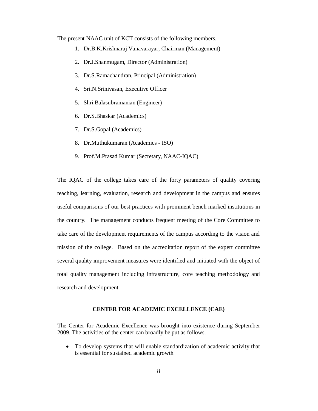The present NAAC unit of KCT consists of the following members.

- 1. Dr.B.K.Krishnaraj Vanavarayar, Chairman (Management)
- 2. Dr.J.Shanmugam, Director (Administration)
- 3. Dr.S.Ramachandran, Principal (Administration)
- 4. Sri.N.Srinivasan, Executive Officer
- 5. Shri.Balasubramanian (Engineer)
- 6. Dr.S.Bhaskar (Academics)
- 7. Dr.S.Gopal (Academics)
- 8. Dr.Muthukumaran (Academics ISO)
- 9. Prof.M.Prasad Kumar (Secretary, NAAC-IQAC)

The IQAC of the college takes care of the forty parameters of quality covering teaching, learning, evaluation, research and development in the campus and ensures useful comparisons of our best practices with prominent bench marked institutions in the country. The management conducts frequent meeting of the Core Committee to take care of the development requirements of the campus according to the vision and mission of the college. Based on the accreditation report of the expert committee several quality improvement measures were identified and initiated with the object of total quality management including infrastructure, core teaching methodology and research and development.

#### **CENTER FOR ACADEMIC EXCELLENCE (CAE)**

The Center for Academic Excellence was brought into existence during September 2009. The activities of the center can broadly be put as follows.

 To develop systems that will enable standardization of academic activity that is essential for sustained academic growth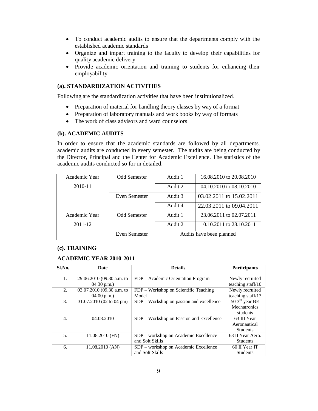- To conduct academic audits to ensure that the departments comply with the established academic standards
- Organize and impart training to the faculty to develop their capabilities for quality academic delivery
- Provide academic orientation and training to students for enhancing their employability

# **(a). STANDARDIZATION ACTIVITIES**

Following are the standardization activities that have been institutionalized.

- Preparation of material for handling theory classes by way of a format
- Preparation of laboratory manuals and work books by way of formats
- The work of class advisors and ward counselors

#### **(b). ACADEMIC AUDITS**

In order to ensure that the academic standards are followed by all departments, academic audits are conducted in every semester. The audits are being conducted by the Director, Principal and the Center for Academic Excellence. The statistics of the academic audits conducted so for in detailed.

| Academic Year | <b>Odd Semester</b> | Audit 1                  | 16.08.2010 to 20.08.2010 |
|---------------|---------------------|--------------------------|--------------------------|
| 2010-11       |                     | Audit 2                  | 04.10.2010 to 08.10.2010 |
|               | Even Semester       | Audit 3                  | 03.02.2011 to 15.02.2011 |
|               |                     | Audit 4                  | 22.03.2011 to 09.04.2011 |
| Academic Year | Odd Semester        | Audit 1                  | 23.06.2011 to 02.07.2011 |
| 2011-12       |                     | Audit 2                  | 10.10.2011 to 28.10.2011 |
|               | Even Semester       | Audits have been planned |                          |

#### **(c). TRAINING**

#### **ACADEMIC YEAR 2010-2011**

| Sl.No. | Date                      | <b>Details</b>                           | Participants      |
|--------|---------------------------|------------------------------------------|-------------------|
|        |                           |                                          |                   |
| 1.     | 29.06.2010 (09.30 a.m. to | FDP – Academic Orientation Program       | Newly recruited   |
|        | $04.30$ p.m.)             |                                          | teaching staff/10 |
| 2.     | 03.07.2010 (09.30 a.m. to | FDP – Workshop on Scientific Teaching    | Newly recruited   |
|        | $04.00$ p.m.)             | Model                                    | teaching staff/13 |
| 3.     | 31.07.2010 (02 to 04 pm)  | SDP - Workshop on passion and excellence | $503rd$ year BE   |
|        |                           |                                          | Mechatronics      |
|        |                           |                                          | students          |
| 4.     | 04.08.2010                | SDP – Workshop on Passion and Excellence | 63 III Year       |
|        |                           |                                          | Aeronautical      |
|        |                           |                                          | <b>Students</b>   |
| 5.     | $11.08.2010$ (FN)         | SDP – workshop on Academic Excellence    | 63 II Year Aero.  |
|        |                           | and Soft Skills                          | <b>Students</b>   |
| 6.     | 11.08.2010 (AN)           | SDP - workshop on Academic Excellence    | 60 II Year IT     |
|        |                           | and Soft Skills                          | <b>Students</b>   |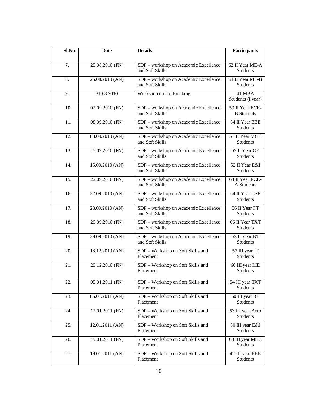| Sl.No.            | Date            | <b>Details</b>                                           | Participants                         |
|-------------------|-----------------|----------------------------------------------------------|--------------------------------------|
|                   |                 |                                                          |                                      |
| 7.                | 25.08.2010 (FN) | SDP - workshop on Academic Excellence<br>and Soft Skills | 63 II Year ME-A<br><b>Students</b>   |
| 8.                | 25.08.2010 (AN) | SDP - workshop on Academic Excellence<br>and Soft Skills | 61 II Year ME-B<br>Students          |
| 9.                | 31.08.2010      | Workshop on Ice Breaking                                 | 41 MBA<br>Students (I year)          |
| 10.               | 02.09.2010 (FN) | SDP - workshop on Academic Excellence<br>and Soft Skills | 59 II Year ECE-<br><b>B</b> Students |
| 11.               | 08.09.2010 (FN) | SDP - workshop on Academic Excellence<br>and Soft Skills | 64 II Year EEE<br><b>Students</b>    |
| 12.               | 08.09.2010 (AN) | SDP - workshop on Academic Excellence<br>and Soft Skills | 55 II Year MCE<br><b>Students</b>    |
| 13.               | 15.09.2010 (FN) | SDP - workshop on Academic Excellence<br>and Soft Skills | 65 II Year CE<br><b>Students</b>     |
| 14.               | 15.09.2010 (AN) | SDP - workshop on Academic Excellence<br>and Soft Skills | 52 II Year E&I<br><b>Students</b>    |
| 15.               | 22.09.2010 (FN) | SDP - workshop on Academic Excellence<br>and Soft Skills | 64 II Year ECE-<br>A Students        |
| 16.               | 22.09.2010 (AN) | SDP - workshop on Academic Excellence<br>and Soft Skills | 64 II Year CSE<br><b>Students</b>    |
| $\overline{17}$ . | 28.09.2010 (AN) | SDP - workshop on Academic Excellence<br>and Soft Skills | 56 II Year FT<br><b>Students</b>     |
| 18.               | 29.09.2010 (FN) | SDP - workshop on Academic Excellence<br>and Soft Skills | 66 II Year TXT<br><b>Students</b>    |
| 19.               | 29.09.2010 (AN) | SDP - workshop on Academic Excellence<br>and Soft Skills | 53 II Year BT<br><b>Students</b>     |
| 20.               | 18.12.2010 (AN) | SDP - Workshop on Soft Skills and<br>Placement           | 57 III year IT<br><b>Students</b>    |
| 21.               | 29.12.2010 (FN) | SDP - Workshop on Soft Skills and<br>Placement           | 60 III year ME<br><b>Students</b>    |
| 22.               | 05.01.2011 (FN) | SDP - Workshop on Soft Skills and<br>Placement           | 54 III year TXT<br><b>Students</b>   |
| 23.               | 05.01.2011 (AN) | SDP - Workshop on Soft Skills and<br>Placement           | 50 III year BT<br>Students           |
| 24.               | 12.01.2011 (FN) | SDP - Workshop on Soft Skills and<br>Placement           | 53 III year Aero<br>Students         |
| 25.               | 12.01.2011 (AN) | SDP - Workshop on Soft Skills and<br>Placement           | 50 III year E&I<br>Students          |
| 26.               | 19.01.2011 (FN) | SDP - Workshop on Soft Skills and<br>Placement           | 60 III year MEC<br><b>Students</b>   |
| 27.               | 19.01.2011 (AN) | SDP - Workshop on Soft Skills and<br>Placement           | 42 III year EEE<br><b>Students</b>   |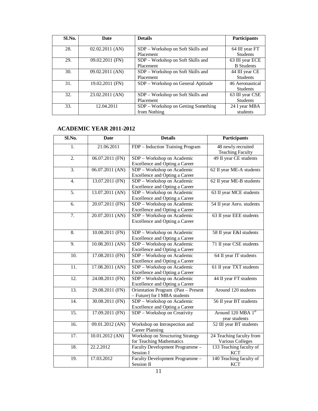| Sl.No. | Date              | <b>Details</b>                      | <b>Participants</b> |
|--------|-------------------|-------------------------------------|---------------------|
|        |                   |                                     |                     |
| 28.    | $02.02.2011$ (AN) | SDP – Workshop on Soft Skills and   | 64 III year FT      |
|        |                   | Placement                           | <b>Students</b>     |
| 29.    | 09.02.2011 (FN)   | SDP - Workshop on Soft Skills and   | 63 III year ECE     |
|        |                   | Placement                           | <b>B</b> Students   |
| 30.    | 09.02.2011 (AN)   | SDP - Workshop on Soft Skills and   | 44 III year CE      |
|        |                   | Placement                           | <b>Students</b>     |
| 31.    | 19.02.2011 (FN)   | SDP – Workshop on General Aptitude  | 46 Aeronautical     |
|        |                   |                                     | <b>Students</b>     |
| 32.    | 23.02.2011 (AN)   | SDP – Workshop on Soft Skills and   | 63 III year CSE     |
|        |                   | Placement                           | <b>Students</b>     |
| 33.    | 12.04.2011        | SDP – Workshop on Getting Something | 24 I year MBA       |
|        |                   | from Nothing                        | students            |

# **ACADEMIC YEAR 2011-2012**

| Sl.No.            | <b>Date</b>       | <b>Details</b>                                                      | <b>Participants</b>                           |
|-------------------|-------------------|---------------------------------------------------------------------|-----------------------------------------------|
| 1.                | 21.06.2011        | FDP - Induction Training Program                                    | 48 newly recruited<br><b>Teaching Faculty</b> |
| $\overline{2}$ .  | 06.07.2011 (FN)   | SDP - Workshop on Academic<br>Excellence and Opting a Career        | 49 II year CE students                        |
| $\overline{3}$ .  | $06.07.2011$ (AN) | SDP - Workshop on Academic<br>Excellence and Opting a Career        | 62 II year ME-A students                      |
| $\overline{4}$ .  | 13.07.2011 (FN)   | SDP - Workshop on Academic<br>Excellence and Opting a Career        | 62 II year ME-B students                      |
| 5.                | $13.07.2011$ (AN) | SDP - Workshop on Academic<br>Excellence and Opting a Career        | 63 II year MCE students                       |
| 6.                | 20.07.2011 (FN)   | SDP - Workshop on Academic<br>Excellence and Opting a Career        | 54 II year Aero. students                     |
| $\overline{7}$ .  | 20.07.2011 (AN)   | SDP - Workshop on Academic<br>Excellence and Opting a Career        | 63 II year EEE students                       |
| $\overline{8}$ .  | 10.08.2011 (FN)   | SDP - Workshop on Academic<br>Excellence and Opting a Career        | 58 II year E&I students                       |
| 9.                | $10.08.2011$ (AN) | SDP - Workshop on Academic<br>Excellence and Opting a Career        | 71 II year CSE students                       |
| 10.               | 17.08.2011 (FN)   | SDP - Workshop on Academic<br>Excellence and Opting a Career        | 64 II year IT students                        |
| 11.               | 17.08.2011 (AN)   | SDP - Workshop on Academic<br>Excellence and Opting a Career        | 61 II year TXT students                       |
| $\overline{12}$ . | 24.08.2011 (FN)   | SDP - Workshop on Academic<br>Excellence and Opting a Career        | 44 II year FT students                        |
| 13.               | 29.08.2011 (FN)   | Orientation Program (Past - Present<br>- Future) for I MBA students | Around 120 students                           |
| 14.               | 30.08.2011 (FN)   | SDP - Workshop on Academic<br>Excellence and Opting a Career        | 56 II year BT students                        |
| $\overline{15}$ . | 17.09.2011 (FN)   | SDP - Workshop on Creativity                                        | Around 120 MBA 1st<br>year students           |
| $\overline{16}$ . | 09.01.2012 (AN)   | Workshop on Introspection and<br><b>Career Planning</b>             | 52 III year BT students                       |
| 17.               | $10.01.2012$ (AN) | Workshop on Structuring Strategy<br>for Teaching Mathematics        | 24 Teaching faculty from<br>Various Colleges  |
| 18.               | 22.2.2012         | Faculty Development Programme -<br>Session I                        | 133 Teaching faculty of<br><b>KCT</b>         |
| 19.               | 17.03.2012        | Faculty Development Programme -<br>Session II                       | 140 Teaching faculty of<br><b>KCT</b>         |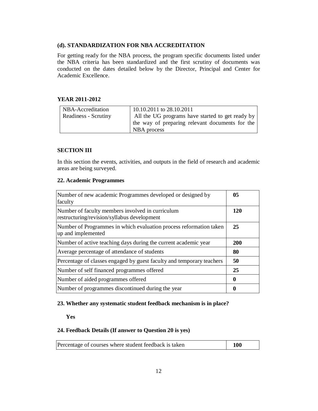#### **(d). STANDARDIZATION FOR NBA ACCREDITATION**

For getting ready for the NBA process, the program specific documents listed under the NBA criteria has been standardized and the first scrutiny of documents was conducted on the dates detailed below by the Director, Principal and Center for Academic Excellence.

#### **YEAR 2011-2012**

| NBA-Accreditation    | 10.10.2011 to 28.10.2011                                       |
|----------------------|----------------------------------------------------------------|
| Readiness - Scrutiny | All the UG programs have started to get ready by               |
|                      | the way of preparing relevant documents for the<br>NBA process |

#### **SECTION III**

In this section the events, activities, and outputs in the field of research and academic areas are being surveyed.

#### **22. Academic Programmes**

| Number of new academic Programmes developed or designed by<br>faculty                           | 0 <sub>5</sub> |
|-------------------------------------------------------------------------------------------------|----------------|
| Number of faculty members involved in curriculum<br>restructuring/revision/syllabus development | 120            |
| Number of Programmes in which evaluation process reformation taken<br>up and implemented        | 25             |
| Number of active teaching days during the current academic year                                 | <b>200</b>     |
| Average percentage of attendance of students                                                    | 80             |
| Percentage of classes engaged by guest faculty and temporary teachers                           | 50             |
| Number of self financed programmes offered                                                      | 25             |
| Number of aided programmes offered                                                              | 0              |
| Number of programmes discontinued during the year                                               | $\mathbf{0}$   |

### **23. Whether any systematic student feedback mechanism is in place?**

**Yes** 

### **24. Feedback Details (If answer to Question 20 is yes)**

| Percentage of courses where student feedback is taken | 100 |
|-------------------------------------------------------|-----|
|-------------------------------------------------------|-----|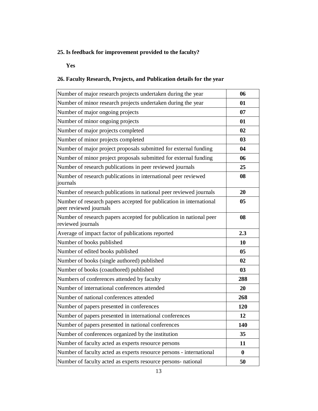# **25. Is feedback for improvement provided to the faculty?**

#### **Yes**

# **26. Faculty Research, Projects, and Publication details for the year**

| Number of major research projects undertaken during the year                                  | 06       |
|-----------------------------------------------------------------------------------------------|----------|
| Number of minor research projects undertaken during the year                                  | 01       |
| Number of major ongoing projects                                                              | 07       |
| Number of minor ongoing projects                                                              | 01       |
| Number of major projects completed                                                            | 02       |
| Number of minor projects completed                                                            | 03       |
| Number of major project proposals submitted for external funding                              | 04       |
| Number of minor project proposals submitted for external funding                              | 06       |
| Number of research publications in peer reviewed journals                                     | 25       |
| Number of research publications in international peer reviewed<br>journals                    | 08       |
| Number of research publications in national peer reviewed journals                            | 20       |
| Number of research papers accepted for publication in international<br>peer reviewed journals | 05       |
| Number of research papers accepted for publication in national peer<br>reviewed journals      | 08       |
| Average of impact factor of publications reported                                             | 2.3      |
| Number of books published                                                                     | 10       |
| Number of edited books published                                                              | 05       |
| Number of books (single authored) published                                                   | 02       |
| Number of books (coauthored) published                                                        | 03       |
| Numbers of conferences attended by faculty                                                    | 288      |
| Number of international conferences attended                                                  | 20       |
| Number of national conferences attended                                                       | 268      |
| Number of papers presented in conferences                                                     | 120      |
| Number of papers presented in international conferences                                       | 12       |
| Number of papers presented in national conferences                                            | 140      |
| Number of conferences organized by the institution                                            | 35       |
| Number of faculty acted as experts resource persons                                           | 11       |
| Number of faculty acted as experts resource persons - international                           | $\bf{0}$ |
| Number of faculty acted as experts resource persons- national                                 | 50       |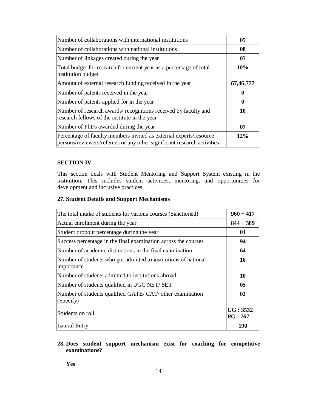| Number of collaborations with international institutions                                                                                      | 0 <sub>5</sub> |
|-----------------------------------------------------------------------------------------------------------------------------------------------|----------------|
| Number of collaborations with national institutions                                                                                           | 08             |
| Number of linkages created during the year                                                                                                    | 05             |
| Total budget for research for current year as a percentage of total<br>institution budget                                                     | 10%            |
| Amount of external research funding received in the year                                                                                      | 67,46,777      |
| Number of patents received in the year                                                                                                        | 0              |
| Number of patents applied for in the year                                                                                                     | 0              |
| Number of research awards/recognitions received by faculty and<br>research fellows of the institute in the year                               | 10             |
| Number of PhDs awarded during the year                                                                                                        | 07             |
| Percentage of faculty members invited as external experts/resource<br>persons/reviewers/referees or any other significant research activities | 12%            |

### **SECTION IV**

This section deals with Student Mentoring and Support System existing in the institution. This includes student activities, mentoring, and opportunities for development and inclusive practices.

#### **27. Student Details and Support Mechanisms**

| The total intake of students for various courses (Sanctioned)                 | $960 + 417$               |
|-------------------------------------------------------------------------------|---------------------------|
| Actual enrollment during the year                                             | $844 + 389$               |
| Student dropout percentage during the year                                    | 04                        |
| Success percentage in the final examination across the courses                | 94                        |
| Number of academic distinctions in the final examination                      | 64                        |
| Number of students who got admitted to institutions of national<br>importance | 16                        |
| Number of students admitted to institutions abroad                            | 10                        |
| Number of students qualified in UGC NET/ SET                                  | 05                        |
| Number of students qualified GATE/CAT/ other examination<br>(Specify)         | $\mathbf{02}$             |
| Students on roll                                                              | UG: 3532<br><b>PG:767</b> |
| Lateral Entry                                                                 | 190                       |

# **28. Does student support mechanism exist for coaching for competitive examinations?**

**Yes**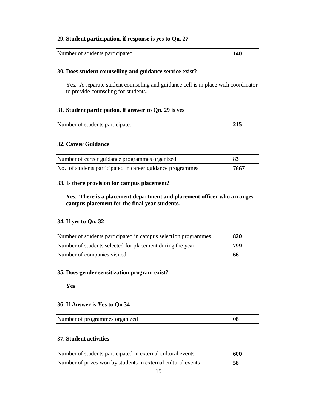### **29. Student participation, if response is yes to Qn. 27**

Number of students participated **140** 

### **30. Does student counselling and guidance service exist?**

Yes. A separate student counseling and guidance cell is in place with coordinator to provide counseling for students.

### **31. Student participation, if answer to Qn. 29 is yes**

| Number of students participated |  |
|---------------------------------|--|
|---------------------------------|--|

### **32. Career Guidance**

| Number of career guidance programmes organized             | -83  |
|------------------------------------------------------------|------|
| No. of students participated in career guidance programmes | 7667 |

#### **33. Is there provision for campus placement?**

**Yes. There is a placement department and placement officer who arranges campus placement for the final year students.** 

#### **34. If yes to Qn. 32**

| Number of students participated in campus selection programmes | 820 |
|----------------------------------------------------------------|-----|
| Number of students selected for placement during the year      | 799 |
| Number of companies visited                                    | 66  |

#### **35. Does gender sensitization program exist?**

**Yes** 

#### **36. If Answer is Yes to Qn 34**

| Number of programmes organized | 08 |
|--------------------------------|----|
|                                |    |

### **37. Student activities**

| Number of students participated in external cultural events  | 600 |
|--------------------------------------------------------------|-----|
| Number of prizes won by students in external cultural events | 58  |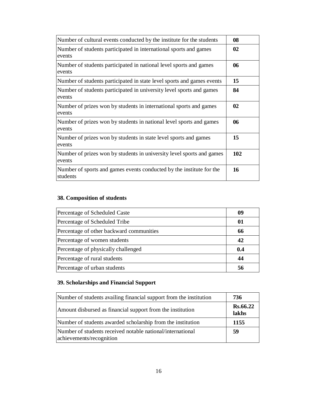| Number of cultural events conducted by the institute for the students            | 08  |
|----------------------------------------------------------------------------------|-----|
| Number of students participated in international sports and games<br>events      | 02  |
| Number of students participated in national level sports and games<br>events     | 06  |
| Number of students participated in state level sports and games events           | 15  |
| Number of students participated in university level sports and games<br>events   | 84  |
| Number of prizes won by students in international sports and games<br>events     | 02  |
| Number of prizes won by students in national level sports and games<br>events    | 06  |
| Number of prizes won by students in state level sports and games<br>events       | 15  |
| Number of prizes won by students in university level sports and games<br>events  | 102 |
| Number of sports and games events conducted by the institute for the<br>students | 16  |

# **38. Composition of students**

| Percentage of Scheduled Caste            | 09  |
|------------------------------------------|-----|
| Percentage of Scheduled Tribe            | 01  |
| Percentage of other backward communities | 66  |
| Percentage of women students             | 42  |
| Percentage of physically challenged      | 0.4 |
| Percentage of rural students             | 44  |
| Percentage of urban students             | 56  |

# **39. Scholarships and Financial Support**

| Number of students availing financial support from the institution                     | 736                      |
|----------------------------------------------------------------------------------------|--------------------------|
| Amount disbursed as financial support from the institution                             | <b>Rs.66.22</b><br>lakhs |
| Number of students awarded scholarship from the institution                            | 1155                     |
| Number of students received notable national/international<br>achievements/recognition | 59                       |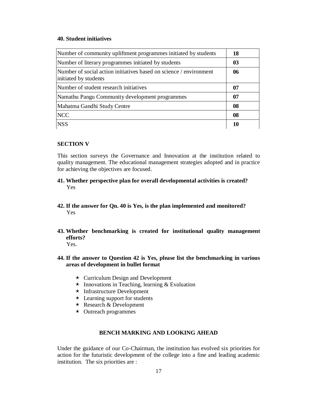#### **40. Student initiatives**

| Number of community upliftment programmes initiated by students                             | 18 |
|---------------------------------------------------------------------------------------------|----|
| Number of literary programmes initiated by students                                         | 03 |
| Number of social action initiatives based on science / environment<br>initiated by students | 06 |
| Number of student research initiatives                                                      | 07 |
| Namathu Pangu Community development programmes                                              | 07 |
| Mahatma Gandhi Study Centre                                                                 | 08 |
| <b>NCC</b>                                                                                  | 08 |
| <b>NSS</b>                                                                                  | 10 |

#### **SECTION V**

This section surveys the Governance and Innovation at the institution related to quality management. The educational management strategies adopted and in practice for achieving the objectives are focused.

- **41. Whether perspective plan for overall developmental activities is created?** Yes
- **42. If the answer for Qn. 40 is Yes, is the plan implemented and monitored?** Yes
- **43. Whether benchmarking is created for institutional quality management efforts?** Yes.
	-
- **44. If the answer to Question 42 is Yes, please list the benchmarking in various areas of development in bullet format**
	- $\star$  Curriculum Design and Development
	- $\star$  Innovations in Teaching, learning & Evaluation
	- $\star$  Infrastructure Development
	- $\star$  Learning support for students
	- $\star$  Research & Development
	- $\star$  Outreach programmes

### **BENCH MARKING AND LOOKING AHEAD**

Under the guidance of our Co-Chairman, the institution has evolved six priorities for action for the futuristic development of the college into a fine and leading academic institution. The six priorities are :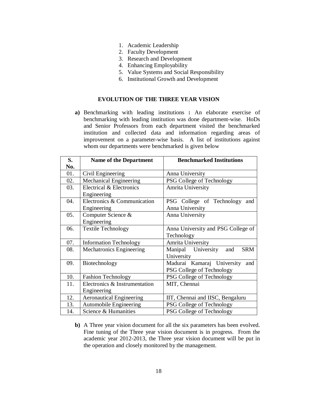- 1. Academic Leadership
- 2. Faculty Development
- 3. Research and Development
- 4. Enhancing Employability
- 5. Value Systems and Social Responsibility
- 6. Institutional Growth and Development

#### **EVOLUTION OF THE THREE YEAR VISION**

**a)** Benchmarking with leading institutions **:** An elaborate exercise of benchmarking with leading institution was done department-wise. HoDs and Senior Professors from each department visited the benchmarked institution and collected data and information regarding areas of improvement on a parameter-wise basis. A list of institutions against whom our departments were benchmarked is given below

| S.  | <b>Name of the Department</b>           | <b>Benchmarked Institutions</b>         |  |  |
|-----|-----------------------------------------|-----------------------------------------|--|--|
| No. |                                         |                                         |  |  |
| 01. | Civil Engineering                       | Anna University                         |  |  |
| 02. | Mechanical Engineering                  | PSG College of Technology               |  |  |
| 03. | Electrical & Electronics<br>Engineering | Amrita University                       |  |  |
| 04. | Electronics & Communication             | PSG College of Technology<br>and        |  |  |
|     | Engineering                             | Anna University                         |  |  |
| 05. | Computer Science &                      | Anna University                         |  |  |
|     | Engineering                             |                                         |  |  |
| 06. | <b>Textile Technology</b>               | Anna University and PSG College of      |  |  |
|     |                                         | Technology                              |  |  |
| 07. | <b>Information Technology</b>           | Amrita University                       |  |  |
| 08. | <b>Mechatronics Engineering</b>         | Manipal University<br><b>SRM</b><br>and |  |  |
|     |                                         | University                              |  |  |
| 09. | Biotechnology                           | Madurai Kamaraj University<br>and       |  |  |
|     |                                         | PSG College of Technology               |  |  |
| 10. | <b>Fashion Technology</b>               | PSG College of Technology               |  |  |
| 11. | Electronics & Instrumentation           | MIT, Chennai                            |  |  |
|     | Engineering                             |                                         |  |  |
| 12. | <b>Aeronautical Engineering</b>         | IIT, Chennai and IISC, Bengaluru        |  |  |
| 13. | <b>Automobile Engineering</b>           | PSG College of Technology               |  |  |
| 14. | Science & Humanities                    | PSG College of Technology               |  |  |

**b)** A Three year vision document for all the six parameters has been evolved. Fine tuning of the Three year vision document is in progress. From the academic year 2012-2013, the Three year vision document will be put in the operation and closely monitored by the management.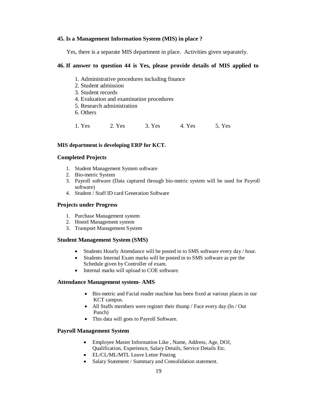#### **45. Is a Management Information System (MIS) in place ?**

Yes, there is a separate MIS department in place. Activities given separately.

#### **46. If answer to question 44 is Yes, please provide details of MIS applied to**

- 1. Administrative procedures including finance
- 2. Student admission
- 3. Student records
- 4. Evaluation and examination procedures
- 5. Research administration
- 6. Others

1. Yes 2. Yes 3. Yes 4. Yes 5. Yes

#### **MIS department is developing ERP for KCT.**

#### **Completed Projects**

- 1. Student Management System software
- 2. Bio-metric System
- 3. Payroll software (Data captured through bio-metric system will be used for Payroll software)
- 4. Student / Staff ID card Generation Software

#### **Projects under Progress**

- 1. Purchase Management system
- 2. Hostel Management system
- 3. Transport Management System

#### **Student Management System (SMS)**

- Students Hourly Attendance will be posted in to SMS software every day / hour.
- Students Internal Exam marks will be posted in to SMS software as per the Schedule given by Controller of exam.
- Internal marks will upload to COE software.

#### **Attendance Management system- AMS**

- Bio-metric and Facial reader machine has been fixed at various places in our KCT campus.
- All Staffs members were register their thump / Face every day (In / Out Punch)
- This data will goes to Payroll Software.

#### **Payroll Management System**

- Employee Master Information Like , Name, Address, Age, DOJ, Qualification, Experience, Salary Details, Service Details Etc.
- EL/CL/ML/MTL Leave Letter Posting
- Salary Statement / Summary and Consolidation statement.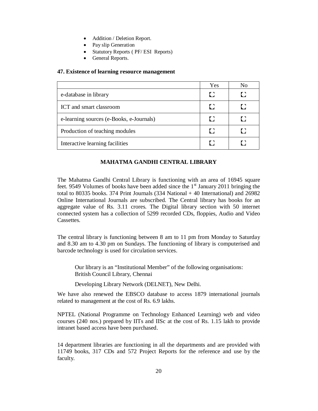- Addition / Deletion Report.
- Pay slip Generation
- Statutory Reports ( PF/ ESI Reports)
- General Reports.

#### **47. Existence of learning resource management**

|                                          | Yes | Nο  |
|------------------------------------------|-----|-----|
| e-database in library                    | Ð   | Г 1 |
| ICT and smart classroom                  | IJ  | I : |
| e-learning sources (e-Books, e-Journals) | Ð   |     |
| Production of teaching modules           | EC. |     |
| Interactive learning facilities          |     |     |

#### **MAHATMA GANDHI CENTRAL LIBRARY**

The Mahatma Gandhi Central Library is functioning with an area of 16945 square feet. 9549 Volumes of books have been added since the  $1<sup>st</sup>$  January 2011 bringing the total to 80335 books. 374 Print Journals  $(334$  National + 40 International) and 26982 Online International Journals are subscribed. The Central library has books for an aggregate value of Rs. 3.11 crores. The Digital library section with 50 internet connected system has a collection of 5299 recorded CDs, floppies, Audio and Video Cassettes.

The central library is functioning between 8 am to 11 pm from Monday to Saturday and 8.30 am to 4.30 pm on Sundays. The functioning of library is computerised and barcode technology is used for circulation services.

Our library is an "Institutional Member" of the following organisations: British Council Library, Chennai

Developing Library Network (DELNET), New Delhi.

We have also renewed the EBSCO database to access 1879 international journals related to management at the cost of Rs. 6.9 lakhs.

NPTEL (National Programme on Technology Enhanced Learning) web and video courses (240 nos.) prepared by IITs and IISc at the cost of Rs. 1.15 lakh to provide intranet based access have been purchased.

14 department libraries are functioning in all the departments and are provided with 11749 books, 317 CDs and 572 Project Reports for the reference and use by the faculty.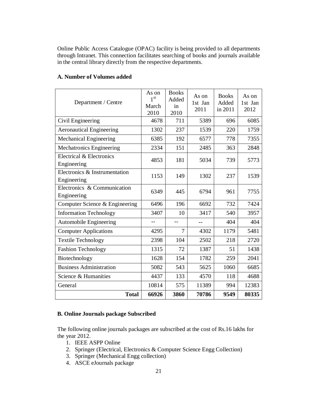Online Public Access Catalogue (OPAC) facility is being provided to all departments through Intranet. This connection facilitates searching of books and journals available in the central library directly from the respective departments.

| Department / Centre                          | As on<br>1 <sup>st</sup><br>March<br>2010 | <b>Books</b><br>Added<br>in<br>2010 | As on<br>1st Jan<br>2011 | <b>Books</b><br>Added<br>in 2011 | As on<br>1st Jan<br>2012 |
|----------------------------------------------|-------------------------------------------|-------------------------------------|--------------------------|----------------------------------|--------------------------|
| Civil Engineering                            | 4678                                      | 711                                 | 5389                     | 696                              | 6085                     |
| <b>Aeronautical Engineering</b>              | 1302                                      | 237                                 | 1539                     | 220                              | 1759                     |
| <b>Mechanical Engineering</b>                | 6385                                      | 192                                 | 6577                     | 778                              | 7355                     |
| Mechatronics Engineering                     | 2334                                      | 151                                 | 2485                     | 363                              | 2848                     |
| Electrical & Electronics<br>Engineering      | 4853                                      | 181                                 | 5034                     | 739                              | 5773                     |
| Electronics & Instrumentation<br>Engineering | 1153                                      | 149                                 | 1302                     | 237                              | 1539                     |
| Electronics & Communication<br>Engineering   | 6349                                      | 445                                 | 6794                     | 961                              | 7755                     |
| Computer Science & Engineering               | 6496                                      | 196                                 | 6692                     | 732                              | 7424                     |
| <b>Information Technology</b>                | 3407                                      | 10                                  | 3417                     | 540                              | 3957                     |
| <b>Automobile Engineering</b>                | $-$                                       |                                     |                          | 404                              | 404                      |
| <b>Computer Applications</b>                 | 4295                                      | 7                                   | 4302                     | 1179                             | 5481                     |
| <b>Textile Technology</b>                    | 2398                                      | 104                                 | 2502                     | 218                              | 2720                     |
| <b>Fashion Technology</b>                    | 1315                                      | 72                                  | 1387                     | 51                               | 1438                     |
| Biotechnology                                | 1628                                      | 154                                 | 1782                     | 259                              | 2041                     |
| <b>Business Administration</b>               | 5082                                      | 543                                 | 5625                     | 1060                             | 6685                     |
| Science & Humanities                         | 4437                                      | 133                                 | 4570                     | 118                              | 4688                     |
| General                                      | 10814                                     | 575                                 | 11389                    | 994                              | 12383                    |
| <b>Total</b>                                 | 66926                                     | 3860                                | 70786                    | 9549                             | 80335                    |

### **A. Number of Volumes added**

#### **B. Online Journals package Subscribed**

The following online journals packages are subscribed at the cost of Rs.16 lakhs for the year 2012.

- 1. IEEE ASPP Online
- 2. Springer (Electrical, Electronics & Computer Science Engg Collection)
- 3. Springer (Mechanical Engg collection)
- 4. ASCE eJournals package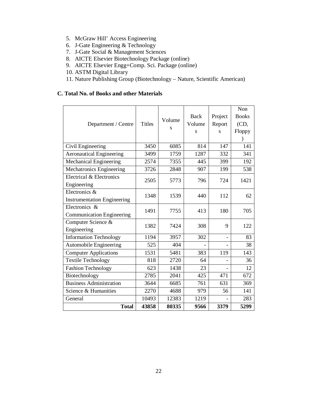- 5. McGraw Hill' Access Engineering
- 6. J-Gate Engineering & Technology
- 7. J-Gate Social & Management Sciences
- 8. AICTE Elsevier Biotechnology Package (online)
- 9. AICTE Elsevier Engg+Comp. Sci. Package (online)
- 10. ASTM Digital Library
- 11. Nature Publishing Group (Biotechnology Nature, Scientific American)

### **C. Total No. of Books and other Materials**

|                                    |               |        |             |         | Non          |
|------------------------------------|---------------|--------|-------------|---------|--------------|
|                                    |               |        | <b>Back</b> | Project | <b>Books</b> |
| Department / Centre                | <b>Titles</b> | Volume | Volume      | Report  | (CD,         |
|                                    |               | S      | S           | S       | Floppy       |
|                                    |               |        |             |         | $\lambda$    |
| Civil Engineering                  | 3450          | 6085   | 814         | 147     | 141          |
| <b>Aeronautical Engineering</b>    | 3499          | 1759   | 1287        | 332     | 341          |
| Mechanical Engineering             | 2574          | 7355   | 445         | 399     | 192          |
| Mechatronics Engineering           | 3726          | 2848   | 907         | 199     | 538          |
| Electrical & Electronics           | 2505          | 5773   | 796         | 724     | 1421         |
| Engineering                        |               |        |             |         |              |
| Electronics &                      | 1348          | 1539   | 440         | 112     | 62           |
| <b>Instrumentation Engineering</b> |               |        |             |         |              |
| Electronics &                      | 1491          | 7755   | 413         | 180     | 705          |
| <b>Communication Engineering</b>   |               |        |             |         |              |
| Computer Science &                 | 1382          | 7424   | 308         | 9       | 122          |
| Engineering                        |               |        |             |         |              |
| <b>Information Technology</b>      | 1194          | 3957   | 302         |         | 83           |
| Automobile Engineering             | 525           | 404    |             |         | 38           |
| <b>Computer Applications</b>       | 1531          | 5481   | 383         | 119     | 143          |
| <b>Textile Technology</b>          | 818           | 2720   | 64          |         | 36           |
| Fashion Technology                 | 623           | 1438   | 23          |         | 12           |
| Biotechnology                      | 2785          | 2041   | 425         | 471     | 672          |
| <b>Business Administration</b>     | 3644          | 6685   | 761         | 631     | 369          |
| Science & Humanities               | 2270          | 4688   | 979         | 56      | 141          |
| General                            | 10493         | 12383  | 1219        |         | 283          |
| <b>Total</b>                       | 43858         | 80335  | 9566        | 3379    | 5299         |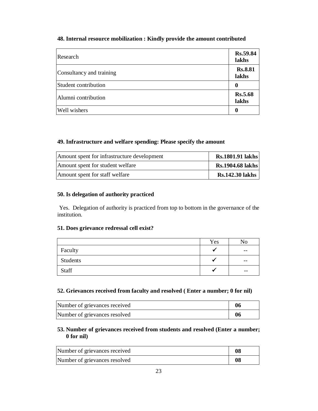# **48. Internal resource mobilization : Kindly provide the amount contributed**

| Research                 | Rs.59.84<br>lakhs       |
|--------------------------|-------------------------|
| Consultancy and training | <b>Rs.8.81</b><br>lakhs |
| Student contribution     | 0                       |
| Alumni contribution      | <b>Rs.5.68</b><br>lakhs |
| Well wishers             | 0                       |

#### **49. Infrastructure and welfare spending: Please specify the amount**

| Amount spent for infrastructure development | <b>Rs.1801.91 lakhs</b> |
|---------------------------------------------|-------------------------|
| Amount spent for student welfare            | <b>Rs.1904.68 lakhs</b> |
| Amount spent for staff welfare              | <b>Rs.142.30 lakhs</b>  |

#### **50. Is delegation of authority practiced**

Yes. Delegation of authority is practiced from top to bottom in the governance of the institution.

#### **51. Does grievance redressal cell exist?**

|          | Yes | No    |
|----------|-----|-------|
| Faculty  |     | $- -$ |
| Students |     | $- -$ |
| Staff    |     | $- -$ |

#### **52. Grievances received from faculty and resolved ( Enter a number; 0 for nil)**

| Number of grievances received | 06 |
|-------------------------------|----|
| Number of grievances resolved | 06 |

### **53. Number of grievances received from students and resolved (Enter a number; 0 for nil)**

| Number of grievances received | 08 |
|-------------------------------|----|
| Number of grievances resolved | 08 |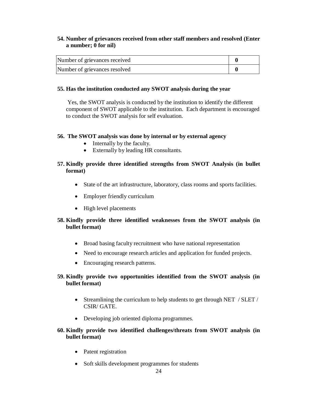# **54. Number of grievances received from other staff members and resolved (Enter a number; 0 for nil)**

| Number of grievances received |  |
|-------------------------------|--|
| Number of grievances resolved |  |

#### **55. Has the institution conducted any SWOT analysis during the year**

Yes, the SWOT analysis is conducted by the institution to identify the different component of SWOT applicable to the institution. Each department is encouraged to conduct the SWOT analysis for self evaluation.

#### **56. The SWOT analysis was done by internal or by external agency**

- Internally by the faculty.
- Externally by leading HR consultants.

# **57. Kindly provide three identified strengths from SWOT Analysis (in bullet format)**

- State of the art infrastructure, laboratory, class rooms and sports facilities.
- Employer friendly curriculum
- High level placements

### **58. Kindly provide three identified weaknesses from the SWOT analysis (in bullet format)**

- Broad basing faculty recruitment who have national representation
- Need to encourage research articles and application for funded projects.
- Encouraging research patterns.
- **59. Kindly provide two opportunities identified from the SWOT analysis (in bullet format)**
	- Streamlining the curriculum to help students to get through NET / SLET / CSIR/ GATE.
	- Developing job oriented diploma programmes.

### **60. Kindly provide two identified challenges/threats from SWOT analysis (in bullet format)**

- Patent registration
- Soft skills development programmes for students